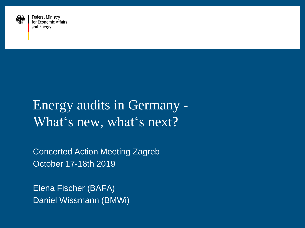

**Federal Ministry** for Economic Affairs and Energy

# Energy audits in Germany - What's new, what's next?

Concerted Action Meeting Zagreb October 17-18th 2019

Elena Fischer (BAFA) Daniel Wissmann (BMWi)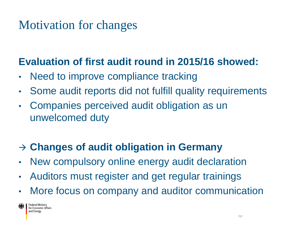## Motivation for changes

### **Evaluation of first audit round in 2015/16 showed:**

- Need to improve compliance tracking
- Some audit reports did not fulfill quality requirements
- Companies perceived audit obligation as un unwelcomed duty

## **Changes of audit obligation in Germany**

- New compulsory online energy audit declaration
- Auditors must register and get regular trainings
- More focus on company and auditor communication

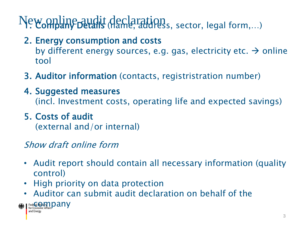# New online audit declaration<br>
New Online pudit (name, address, sector, legal form,...)

- 2. Energy consumption and costs by different energy sources, e.g. gas, electricity etc.  $\rightarrow$  online tool
- 3. Auditor information (contacts, registristration number)
- 4. Suggested measures (incl. Investment costs, operating life and expected savings)
- 5. Costs of audit

(external and/or internal)

#### Show draft online form

- Audit report should contain all necessary information (quality control)
- High priority on data protection
- Auditor can submit audit declaration on behalf of the

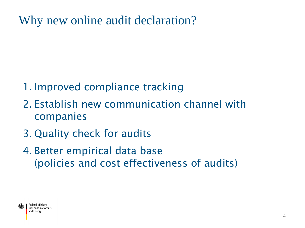Why new online audit declaration?

- 1. Improved compliance tracking
- 2. Establish new communication channel with companies
- 3. Quality check for audits
- 4. Better empirical data base (policies and cost effectiveness of audits)

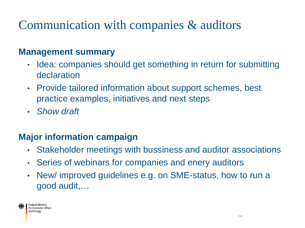# Communication with companies & auditors

#### **Management summary**

- Idea: companies should get something in return for submitting declaration
- Provide tailored information about support schemes, best practice examples, initiatives and next steps
- *Show draft*

#### **Major information campaign**

- Stakeholder meetings with bussiness and auditor associations
- Series of webinars for companies and enery auditors
- New/ improved guidelines e.g. on SME-status, how to run a good audit,…